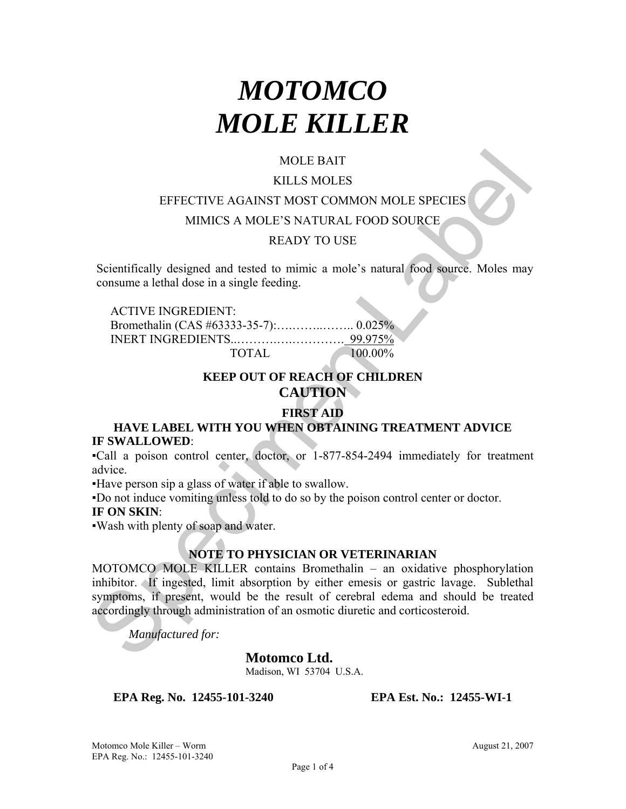# *MOTOMCO MOLE KILLER*

# MOLE BAIT

#### KILLS MOLES

#### EFFECTIVE AGAINST MOST COMMON MOLE SPECIES

MIMICS A MOLE'S NATURAL FOOD SOURCE

## READY TO USE

Scientifically designed and tested to mimic a mole's natural food source. Moles may consume a lethal dose in a single feeding.

ACTIVE INGREDIENT: Bromethalin (CAS #63333-35-7):….……..…….. 0.025% INERT INGREDIENTS..……….….…………. 99.975% TOTAL 100.00%

# **KEEP OUT OF REACH OF CHILDREN CAUTION**

## **FIRST AID**

## **HAVE LABEL WITH YOU WHEN OBTAINING TREATMENT ADVICE IF SWALLOWED**:

▪Call a poison control center, doctor, or 1-877-854-2494 immediately for treatment advice.

▪Have person sip a glass of water if able to swallow.

▪Do not induce vomiting unless told to do so by the poison control center or doctor.

## **IF ON SKIN**:

▪Wash with plenty of soap and water.

#### **NOTE TO PHYSICIAN OR VETERINARIAN**

MOLE BAIT<br>
KILLS MOLES<br>
EFFECTIVE AGAINST MOST COMMON MOLE SPECIES<br>
MIMICS A MOLE'S NATURAL FOOD SOURCE<br>
READY TO USE<br>
Scientifically designed and tested to mimic a mole's natural food source. Moles may<br>
consume a lethal MOTOMCO MOLE KILLER contains Bromethalin – an oxidative phosphorylation inhibitor. If ingested, limit absorption by either emesis or gastric lavage. Sublethal symptoms, if present, would be the result of cerebral edema and should be treated accordingly through administration of an osmotic diuretic and corticosteroid.

*Manufactured for:* 

**Motomco Ltd.** 

Madison, WI 53704 U.S.A.

**EPA Reg. No. 12455-101-3240 EPA Est. No.: 12455-WI-1**

Motomco Mole Killer – Worm **August 21, 2007** August 21, 2007 EPA Reg. No.: 12455-101-3240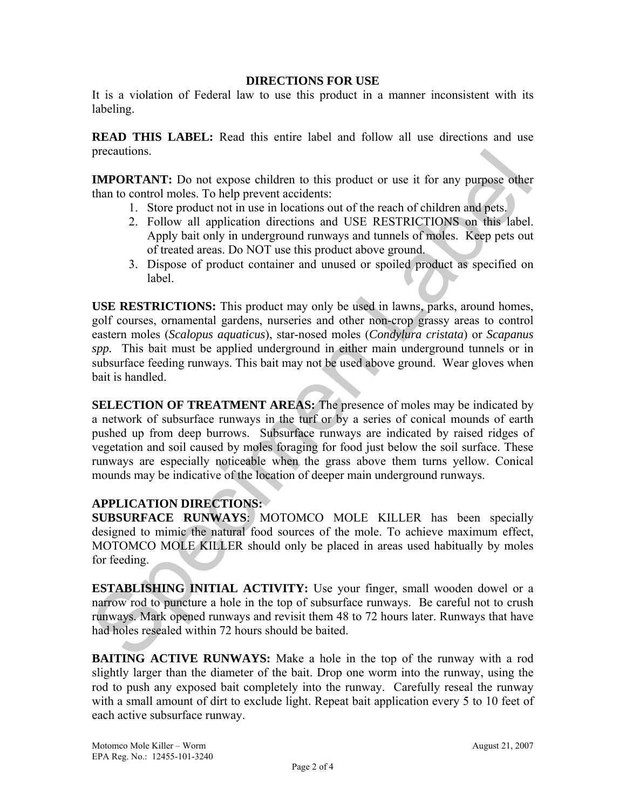#### **DIRECTIONS FOR USE**

It is a violation of Federal law to use this product in a manner inconsistent with its labeling.

**READ THIS LABEL:** Read this entire label and follow all use directions and use precautions.

**IMPORTANT:** Do not expose children to this product or use it for any purpose other than to control moles. To help prevent accidents:

- 1. Store product not in use in locations out of the reach of children and pets.
- 2. Follow all application directions and USE RESTRICTIONS on this label. Apply bait only in underground runways and tunnels of moles. Keep pets out of treated areas. Do NOT use this product above ground.
- 3. Dispose of product container and unused or spoiled product as specified on label.

**USE RESTRICTIONS:** This product may only be used in lawns, parks, around homes, golf courses, ornamental gardens, nurseries and other non-crop grassy areas to control eastern moles (*Scalopus aquaticus*), star-nosed moles (*Condylura cristata*) or *Scapanus spp.* This bait must be applied underground in either main underground tunnels or in subsurface feeding runways. This bait may not be used above ground. Wear gloves when bait is handled.

precautions.<br> **IMPORTATY:** Do not expose children to this product or use it for any purpose other<br>
IMPORTATY: Do not expose the metal coincide to the reach of children and pess.<br>
2. Follow all application directions and US **SELECTION OF TREATMENT AREAS:** The presence of moles may be indicated by a network of subsurface runways in the turf or by a series of conical mounds of earth pushed up from deep burrows. Subsurface runways are indicated by raised ridges of vegetation and soil caused by moles foraging for food just below the soil surface. These runways are especially noticeable when the grass above them turns yellow. Conical mounds may be indicative of the location of deeper main underground runways.

## **APPLICATION DIRECTIONS:**

**SUBSURFACE RUNWAYS**: MOTOMCO MOLE KILLER has been specially designed to mimic the natural food sources of the mole. To achieve maximum effect, MOTOMCO MOLE KILLER should only be placed in areas used habitually by moles for feeding.

**ESTABLISHING INITIAL ACTIVITY:** Use your finger, small wooden dowel or a narrow rod to puncture a hole in the top of subsurface runways. Be careful not to crush runways. Mark opened runways and revisit them 48 to 72 hours later. Runways that have had holes resealed within 72 hours should be baited.

**BAITING ACTIVE RUNWAYS:** Make a hole in the top of the runway with a rod slightly larger than the diameter of the bait. Drop one worm into the runway, using the rod to push any exposed bait completely into the runway. Carefully reseal the runway with a small amount of dirt to exclude light. Repeat bait application every 5 to 10 feet of each active subsurface runway.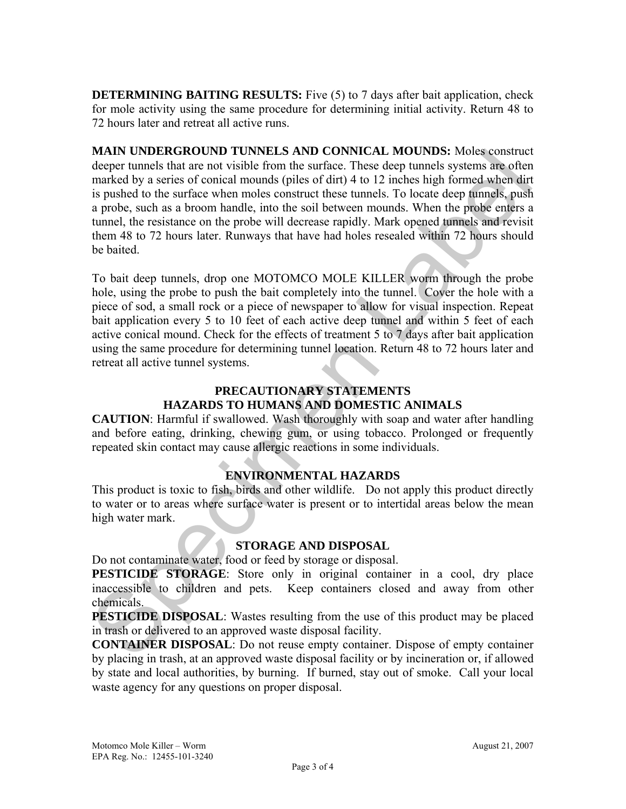**DETERMINING BAITING RESULTS:** Five (5) to 7 days after bait application, check for mole activity using the same procedure for determining initial activity. Return 48 to 72 hours later and retreat all active runs.

MAIN CODENCIATIONS TO TUNNELS ARD CONNICLATION Motive sonstructed<br>
deeper tunnels that are not visible from the surface. These deep tunnels systems are often<br>
mathed by a series of concid monoids (piles of dirt) 4 to 12 i **MAIN UNDERGROUND TUNNELS AND CONNICAL MOUNDS:** Moles construct deeper tunnels that are not visible from the surface. These deep tunnels systems are often marked by a series of conical mounds (piles of dirt) 4 to 12 inches high formed when dirt is pushed to the surface when moles construct these tunnels. To locate deep tunnels, push a probe, such as a broom handle, into the soil between mounds. When the probe enters a tunnel, the resistance on the probe will decrease rapidly. Mark opened tunnels and revisit them 48 to 72 hours later. Runways that have had holes resealed within 72 hours should be baited.

To bait deep tunnels, drop one MOTOMCO MOLE KILLER worm through the probe hole, using the probe to push the bait completely into the tunnel. Cover the hole with a piece of sod, a small rock or a piece of newspaper to allow for visual inspection. Repeat bait application every 5 to 10 feet of each active deep tunnel and within 5 feet of each active conical mound. Check for the effects of treatment 5 to 7 days after bait application using the same procedure for determining tunnel location. Return 48 to 72 hours later and retreat all active tunnel systems.

# **PRECAUTIONARY STATEMENTS HAZARDS TO HUMANS AND DOMESTIC ANIMALS**

**CAUTION**: Harmful if swallowed. Wash thoroughly with soap and water after handling and before eating, drinking, chewing gum, or using tobacco. Prolonged or frequently repeated skin contact may cause allergic reactions in some individuals.

## **ENVIRONMENTAL HAZARDS**

This product is toxic to fish, birds and other wildlife. Do not apply this product directly to water or to areas where surface water is present or to intertidal areas below the mean high water mark.

## **STORAGE AND DISPOSAL**

Do not contaminate water, food or feed by storage or disposal.

**PESTICIDE STORAGE:** Store only in original container in a cool, dry place inaccessible to children and pets. Keep containers closed and away from other chemicals.

**PESTICIDE DISPOSAL:** Wastes resulting from the use of this product may be placed in trash or delivered to an approved waste disposal facility.

**CONTAINER DISPOSAL**: Do not reuse empty container. Dispose of empty container by placing in trash, at an approved waste disposal facility or by incineration or, if allowed by state and local authorities, by burning. If burned, stay out of smoke. Call your local waste agency for any questions on proper disposal.